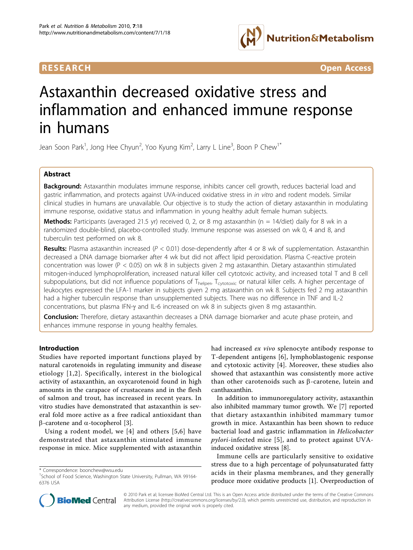

**RESEARCH CONTROL** CONTROL CONTROL CONTROL CONTROL CONTROL CONTROL CONTROL CONTROL CONTROL CONTROL CONTROL CONTROL CONTROL CONTROL CONTROL CONTROL CONTROL CONTROL CONTROL CONTROL CONTROL CONTROL CONTROL CONTROL CONTROL CON

# Astaxanthin decreased oxidative stress and inflammation and enhanced immune response in humans

Jean Soon Park<sup>1</sup>, Jong Hee Chyun<sup>2</sup>, Yoo Kyung Kim<sup>2</sup>, Larry L Line<sup>3</sup>, Boon P Chew<sup>1\*</sup>

# Abstract

Background: Astaxanthin modulates immune response, inhibits cancer cell growth, reduces bacterial load and gastric inflammation, and protects against UVA-induced oxidative stress in in vitro and rodent models. Similar clinical studies in humans are unavailable. Our objective is to study the action of dietary astaxanthin in modulating immune response, oxidative status and inflammation in young healthy adult female human subjects.

**Methods:** Participants (averaged 21.5 yr) received 0, 2, or 8 mg astaxanthin (n = 14/diet) daily for 8 wk in a randomized double-blind, placebo-controlled study. Immune response was assessed on wk 0, 4 and 8, and tuberculin test performed on wk 8.

**Results:** Plasma astaxanthin increased ( $P < 0.01$ ) dose-dependently after 4 or 8 wk of supplementation. Astaxanthin decreased a DNA damage biomarker after 4 wk but did not affect lipid peroxidation. Plasma C-reactive protein concentration was lower (P < 0.05) on wk 8 in subjects given 2 mg astaxanthin. Dietary astaxanthin stimulated mitogen-induced lymphoproliferation, increased natural killer cell cytotoxic activity, and increased total T and B cell subpopulations, but did not influence populations of T<sub>helper</sub>, T<sub>cytotoxic</sub> or natural killer cells. A higher percentage of leukocytes expressed the LFA-1 marker in subjects given 2 mg astaxanthin on wk 8. Subjects fed 2 mg astaxanthin had a higher tuberculin response than unsupplemented subjects. There was no difference in TNF and IL-2 concentrations, but plasma IFN-y and IL-6 increased on wk 8 in subjects given 8 mg astaxanthin.

**Conclusion:** Therefore, dietary astaxanthin decreases a DNA damage biomarker and acute phase protein, and enhances immune response in young healthy females.

# Introduction

Studies have reported important functions played by natural carotenoids in regulating immunity and disease etiology [[1,2\]](#page-8-0). Specifically, interest in the biological activity of astaxanthin, an oxycarotenoid found in high amounts in the carapace of crustaceans and in the flesh of salmon and trout, has increased in recent years. In vitro studies have demonstrated that astaxanthin is several fold more active as a free radical antioxidant than  $\beta$ -carotene and  $\alpha$ -tocopherol [[3\]](#page-8-0).

Using a rodent model, we [\[4\]](#page-8-0) and others [[5](#page-8-0),[6](#page-8-0)] have demonstrated that astaxanthin stimulated immune response in mice. Mice supplemented with astaxanthin

\* Correspondence: [boonchew@wsu.edu](mailto:boonchew@wsu.edu)

had increased ex vivo splenocyte antibody response to T-dependent antigens [[6\]](#page-8-0), lymphoblastogenic response and cytotoxic activity [[4\]](#page-8-0). Moreover, these studies also showed that astaxanthin was consistently more active than other carotenoids such as  $\beta$ -carotene, lutein and canthaxanthin.

In addition to immunoregulatory activity, astaxanthin also inhibited mammary tumor growth. We [\[7](#page-8-0)] reported that dietary astaxanthin inhibited mammary tumor growth in mice. Astaxanthin has been shown to reduce bacterial load and gastric inflammation in Helicobacter pylori-infected mice [[5](#page-8-0)], and to protect against UVAinduced oxidative stress [[8\]](#page-8-0).

Immune cells are particularly sensitive to oxidative stress due to a high percentage of polyunsaturated fatty acids in their plasma membranes, and they generally produce more oxidative products [\[1](#page-8-0)]. Overproduction of



© 2010 Park et al; licensee BioMed Central Ltd. This is an Open Access article distributed under the terms of the Creative Commons Attribution License [\(http://creativecommons.org/licenses/by/2.0](http://creativecommons.org/licenses/by/2.0)), which permits unrestricted use, distribution, and reproduction in any medium, provided the original work is properly cited.

<sup>&</sup>lt;sup>1</sup>School of Food Science, Washington State University, Pullman, WA 99164-6376 USA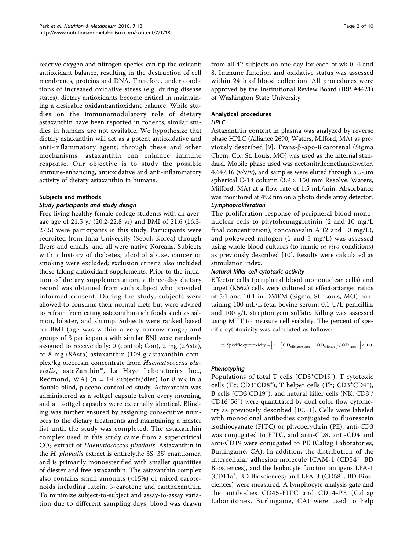reactive oxygen and nitrogen species can tip the oxidant: antioxidant balance, resulting in the destruction of cell membranes, proteins and DNA. Therefore, under conditions of increased oxidative stress (e.g. during disease states), dietary antioxidants become critical in maintaining a desirable oxidant:antioxidant balance. While studies on the immunomodulatory role of dietary astaxanthin have been reported in rodents, similar studies in humans are not available. We hypothesize that dietary astaxanthin will act as a potent antioxidative and anti-inflammatory agent; through these and other mechanisms, astaxanthin can enhance immune response. Our objective is to study the possible immune-enhancing, antioxidative and anti-inflammatory activity of dietary astaxanthin in humans.

# Subjects and methods

# Study participants and study design

Free-living healthy female college students with an average age of 21.5 yr (20.2-22.8 yr) and BMI of 21.6 (16.3- 27.5) were participants in this study. Participants were recruited from Inha University (Seoul, Korea) through flyers and emails, and all were native Koreans. Subjects with a history of diabetes, alcohol abuse, cancer or smoking were excluded; exclusion criteria also included those taking antioxidant supplements. Prior to the initiation of dietary supplementation, a three-day dietary record was obtained from each subject who provided informed consent. During the study, subjects were allowed to consume their normal diets but were advised to refrain from eating astaxanthin-rich foods such as salmon, lobster, and shrimp. Subjects were ranked based on BMI (age was within a very narrow range) and groups of 3 participants with similar BNI were randomly assigned to receive daily: 0 (control; Con), 2 mg (2Asta), or 8 mg (8Asta) astaxanthin (109 g astaxanthin complex/kg oleoresin concentrate from Haematococcus pluvialis, astaZanthin™, La Haye Laboratories Inc., Redmond, WA) ( $n = 14$  subjects/diet) for 8 wk in a double-blind, placebo-controlled study. Astaxanthin was administered as a softgel capsule taken every morning, and all softgel capsules were externally identical. Blinding was further ensured by assigning consecutive numbers to the dietary treatments and maintaining a master list until the study was completed. The astaxanthin complex used in this study came from a supercritical  $CO<sub>2</sub>$  extract of *Haematococcus pluvialis*. Astaxanthin in the H. pluvialis extract is entirelythe 3S, 3S' enantiomer, and is primarily monoesterified with smaller quantities of diester and free astaxanthin. The astaxanthin complex also contains small amounts (<15%) of mixed carotenoids including lutein,  $\beta$ -carotene and canthaxanthin. To minimize subject-to-subject and assay-to-assay variation due to different sampling days, blood was drawn from all 42 subjects on one day for each of wk 0, 4 and 8. Immune function and oxidative status was assessed within 24 h of blood collection. All procedures were approved by the Institutional Review Board (IRB #4421) of Washington State University.

# Analytical procedures HPLC

Astaxanthin content in plasma was analyzed by reverse phase HPLC (Alliance 2690, Waters, Milford, MA) as pre-viously described [[9](#page-8-0)]. Trans- $\beta$ -apo-8'carotenal (Sigma Chem. Co., St. Louis, MO) was used as the internal standard. Mobile phase used was acetonitrile:methanol:water,  $47:47:16 \frac{v}{v}$ , and samples were eluted through a 5-µm spherical C-18 column  $(3.9 \times 150 \text{ mm}$  Resolve, Waters, Milford, MA) at a flow rate of 1.5 mL/min. Absorbance was monitored at 492 nm on a photo diode array detector. Lymphoproliferation

The proliferation response of peripheral blood mononuclear cells to phytohemagglutinin (2 and 10 mg/L final concentration), concanavalin A (2 and 10 mg/L), and pokeweed mitogen (1 and 5 mg/L) was assessed using whole blood cultures (to mimic *in vivo* conditions) as previously described [\[10](#page-8-0)]. Results were calculated as stimulation index.

# Natural killer cell cytotoxic activity

Effector cells (peripheral blood mononuclear cells) and target (K562) cells were cultured at effector:target ratios of 5:1 and 10:1 in DMEM (Sigma, St. Louis, MO) containing 100 mL/L fetal bovine serum, 0.1 U/L penicillin, and 100 g/L streptomycin sulfate. Killing was assessed using MTT to measure cell viability. The percent of specific cytotoxicity was calculated as follows:

$$
\text{ % Specific cytotoxicity} = \Big[1 - \Big(\text{OD}_{\text{effector-target}} - \text{OD}_{\text{effector}}\Big) \big/ \text{ OD}_{\text{target}}\ \Big] \times 100.
$$

# Phenotyping

Populations of total T cells (CD3+CD19<sup>-</sup>), T cytotoxic cells (Tc; CD3+CD8+), T helper cells (Th; CD3+CD4+), B cells (CD3<sup>-</sup>CD19<sup>+</sup>), and natural killer cells (NK; CD3<sup>-</sup>/ CD16<sup>+</sup> 56<sup>+</sup> ) were quantitated by dual color flow cytometry as previously described [[10,11\]](#page-8-0). Cells were labeled with monoclonal antibodies conjugated to fluorescein isothiocyanate (FITC) or phycoerythrin (PE): anti-CD3 was conjugated to FITC, and anti-CD8, anti-CD4 and anti-CD19 were conjugated to PE (Caltag Laboratories, Burlingame, CA). In addition, the distribution of the intercellular adhesion molecule ICAM-1 (CD54<sup>+</sup>, BD Biosciences), and the leukocyte function antigens LFA-1 (CD11a<sup>+</sup>, BD Biosciences) and LFA-3 (CD58<sup>+</sup>, BD Biosciences) were measured. A lymphocyte analysis gate and the antibodies CD45-FITC and CD14-PE (Caltag Laboratories, Burlingame, CA) were used to help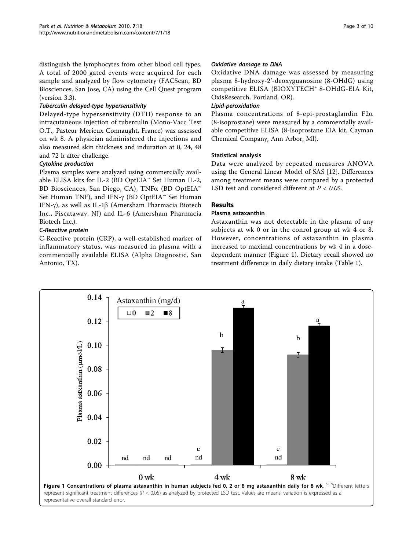distinguish the lymphocytes from other blood cell types. A total of 2000 gated events were acquired for each sample and analyzed by flow cytometry (FACScan, BD Biosciences, San Jose, CA) using the Cell Quest program (version 3.3).

# Tuberculin delayed-type hypersensitivity

Delayed-type hypersensitivity (DTH) response to an intracutaneous injection of tuberculin (Mono-Vacc Test O.T., Pasteur Merieux Connaught, France) was assessed on wk 8. A physician administered the injections and also measured skin thickness and induration at 0, 24, 48 and 72 h after challenge.

# Cytokine production

Plasma samples were analyzed using commercially available ELISA kits for IL-2 (BD OptEIA™ Set Human IL-2, BD Biosciences, San Diego, CA), TNFa (BD OptEIA™ Set Human TNF), and IFN- $\gamma$  (BD OptEIA<sup>™</sup> Set Human IFN- $\gamma$ ), as well as IL-1 $\beta$  (Amersham Pharmacia Biotech Inc., Piscataway, NJ) and IL-6 (Amersham Pharmacia Biotech Inc.).

# C-Reactive protein

C-Reactive protein (CRP), a well-established marker of inflammatory status, was measured in plasma with a commercially available ELISA (Alpha Diagnostic, San Antonio, TX).

Oxidative DNA damage was assessed by measuring plasma 8-hydroxy-2'-deoxyguanosine (8-OHdG) using competitive ELISA (BIOXYTECH® 8-OHdG-EIA Kit, OxisResearch, Portland, OR).

# Lipid-peroxidation

Plasma concentrations of 8-epi-prostaglandin  $F2\alpha$ (8-isoprostane) were measured by a commercially available competitive ELISA (8-Isoprostane EIA kit, Cayman Chemical Company, Ann Arbor, MI).

# Statistical analysis

Data were analyzed by repeated measures ANOVA using the General Linear Model of SAS [\[12](#page-8-0)]. Differences among treatment means were compared by a protected LSD test and considered different at  $P < 0.05$ .

# Results

# Plasma astaxanthin

Astaxanthin was not detectable in the plasma of any subjects at wk 0 or in the conrol group at wk 4 or 8. However, concentrations of astaxanthin in plasma increased to maximal concentrations by wk 4 in a dosedependent manner (Figure 1). Dietary recall showed no treatment difference in daily dietary intake (Table [1](#page-3-0)).

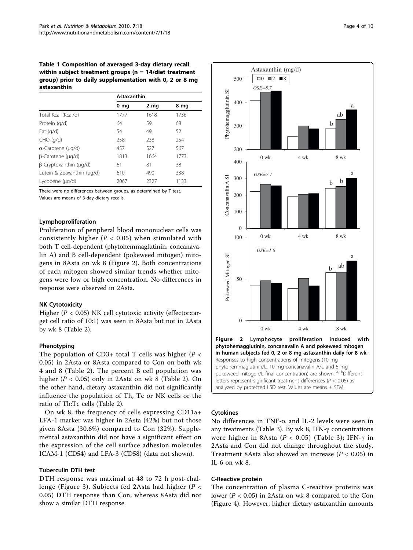<span id="page-3-0"></span>Table 1 Composition of averaged 3-day dietary recall within subject treatment groups ( $n = 14$ /diet treatment group) prior to daily supplementation with 0, 2 or 8 mg astaxanthin

|                               | Astaxanthin |      |      |  |
|-------------------------------|-------------|------|------|--|
|                               | 0 mg        | 2 mg | 8 mg |  |
| Total Kcal (Kcal/d)           | 1777        | 1618 | 1736 |  |
| Protein (g/d)                 | 64          | 59   | 68   |  |
| Fat $(q/d)$                   | 54          | 49   | 52   |  |
| $CHO$ (g/d)                   | 258         | 238  | 254  |  |
| $\alpha$ -Carotene (µq/d)     | 457         | 527  | 567  |  |
| $\beta$ -Carotene (µq/d)      | 1813        | 1664 | 1773 |  |
| $\beta$ -Cryptoxanthin (µg/d) | 61          | 81   | 38   |  |
| Lutein & Zeaxanthin (µg/d)    | 610         | 490  | 338  |  |
| Lycopene (µg/d)               | 2067        | 2327 | 1133 |  |

There were no differences between groups, as determined by T test. Values are means of 3-day dietary recalls.

# Lymphoproliferation

Proliferation of peripheral blood mononuclear cells was consistently higher ( $P < 0.05$ ) when stimulated with both T cell-dependent (phytohemmaglutinin, concanavalin A) and B cell-dependent (pokeweed mitogen) mitogens in 8Asta on wk 8 (Figure 2). Both concentrations of each mitogen showed similar trends whether mitogens were low or high concentration. No differences in response were observed in 2Asta.

# NK Cytotoxicity

Higher ( $P < 0.05$ ) NK cell cytotoxic activity (effector:target cell ratio of 10:1) was seen in 8Asta but not in 2Asta by wk 8 (Table [2\)](#page-4-0).

## Phenotyping

The population of CD3+ total T cells was higher ( $P <$ 0.05) in 2Asta or 8Asta compared to Con on both wk 4 and 8 (Table [2](#page-4-0)). The percent B cell population was higher ( $P < 0.05$ ) only in [2](#page-4-0)Asta on wk 8 (Table 2). On the other hand, dietary astaxanthin did not significantly influence the population of Th, Tc or NK cells or the ratio of Th:Tc cells (Table [2](#page-4-0)).

On wk 8, the frequency of cells expressing CD11a+ LFA-1 marker was higher in 2Asta (42%) but not those given 8Asta (30.6%) compared to Con (32%). Supplemental astaxanthin did not have a significant effect on the expression of the cell surface adhesion molecules ICAM-1 (CD54) and LFA-3 (CD58) (data not shown).

### Tuberculin DTH test

DTH response was maximal at 48 to 72 h post-chal-lenge (Figure [3](#page-4-0)). Subjects fed 2Asta had higher ( $P <$ 0.05) DTH response than Con, whereas 8Asta did not show a similar DTH response.



# Cytokines

No differences in TNF- $\alpha$  and IL-2 levels were seen in any treatments (Table [3\)](#page-5-0). By wk 8, IFN- $\gamma$  concentrations were higher in 8Asta ( $P < 0.05$ ) (Table [3\)](#page-5-0); IFN- $\gamma$  in 2Asta and Con did not change throughout the study. Treatment 8Asta also showed an increase ( $P < 0.05$ ) in IL-6 on wk 8.

# C-Reactive protein

The concentration of plasma C-reactive proteins was lower ( $P < 0.05$ ) in 2Asta on wk 8 compared to the Con (Figure [4\)](#page-5-0). However, higher dietary astaxanthin amounts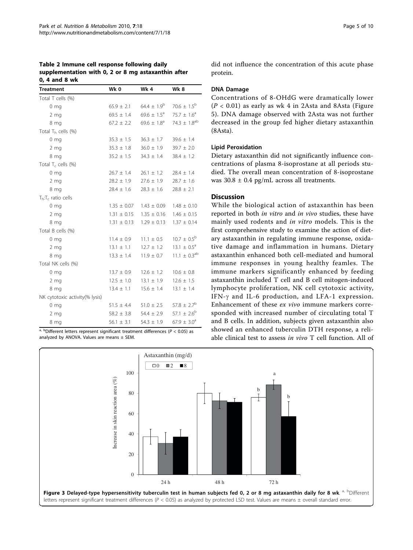<span id="page-4-0"></span>

| Table 2 Immune cell response following daily        |  |
|-----------------------------------------------------|--|
| supplementation with 0, 2 or 8 mg astaxanthin after |  |
| 0, 4 and 8 wk                                       |  |

| Treatment                          | Wk 0            | Wk 4                   | Wk 8                         |
|------------------------------------|-----------------|------------------------|------------------------------|
| Total T cells (%)                  |                 |                        |                              |
| 0 <sub>mg</sub>                    | $65.9 \pm 2.1$  | $64.4 \pm 1.9^b$       | $70.6 \pm 1.5^{\rm b}$       |
| 2 <sub>mg</sub>                    | $69.5 \pm 1.4$  | $69.6 \pm 1.5^{\circ}$ | $75.7 \pm 1.6^a$             |
| 8 mg                               | $67.2 \pm 2.2$  | $69.6 \pm 1.8^{\circ}$ | 74.3 $\pm$ 1.8 <sup>ab</sup> |
| Total $T_h$ cells (%)              |                 |                        |                              |
| 0 <sub>mg</sub>                    | $35.3 \pm 1.5$  | $36.3 \pm 1.7$         | $39.6 \pm 1.4$               |
| 2 <sub>mg</sub>                    | $35.3 \pm 1.8$  | $36.0 \pm 1.9$         | $39.7 \pm 2.0$               |
| 8 mg                               | $35.2 \pm 1.5$  | $34.3 \pm 1.4$         | $38.4 \pm 1.2$               |
| Total $T_c$ cells (%)              |                 |                        |                              |
| 0 <sub>mg</sub>                    | $26.7 \pm 1.4$  | $26.1 \pm 1.2$         | $28.4 \pm 1.4$               |
| 2 <sub>mg</sub>                    | $28.2 \pm 1.9$  | $27.6 \pm 1.9$         | $28.7 \pm 1.6$               |
| 8 mg                               | $28.4 \pm 1.6$  | $28.3 \pm 1.6$         | $28.8 \pm 2.1$               |
| $T_h$ : T <sub>c</sub> ratio cells |                 |                        |                              |
| 0 <sub>mg</sub>                    | $1.35 \pm 0.07$ | $1.43 \pm 0.09$        | $1.48 \pm 0.10$              |
| 2 <sub>mg</sub>                    | $1.31 \pm 0.15$ | $1.35 \pm 0.16$        | $1.46 \pm 0.15$              |
| 8 mg                               | $1.31 \pm 0.13$ | $1.29 \pm 0.13$        | $1.37 \pm 0.14$              |
| Total B cells (%)                  |                 |                        |                              |
| 0 <sub>mg</sub>                    | $11.4 \pm 0.9$  | $11.1 \pm 0.5$         | $10.7 \pm 0.5^{\rm b}$       |
| 2 <sub>mg</sub>                    | $13.1 \pm 1.1$  | $12.7 \pm 1.2$         | $13.1 \pm 0.5^{\circ}$       |
| 8 mg                               | $13.3 \pm 1.4$  | $11.9 \pm 0.7$         | $11.1 \pm 0.3^{ab}$          |
| Total NK cells (%)                 |                 |                        |                              |
| 0 <sub>mg</sub>                    | $13.7 \pm 0.9$  | $12.6 \pm 1.2$         | $10.6 \pm 0.8$               |
| 2 <sub>mg</sub>                    | $12.5 \pm 1.0$  | $13.1 \pm 1.9$         | $12.6 \pm 1.5$               |
| 8 mg                               | $13.4 \pm 1.1$  | $15.6 \pm 1.4$         | $13.1 \pm 1.4$               |
| NK cytotoxic activity(% lysis)     |                 |                        |                              |
| 0 <sub>mg</sub>                    | $51.5 \pm 4.4$  | $51.0 \pm 2.5$         | $57.8 \pm 2.7^{\rm b}$       |
| 2 <sub>mg</sub>                    | $58.2 \pm 3.8$  | $54.4 \pm 2.9$         | 57.1 $\pm$ 2.6 <sup>b</sup>  |
| 8 mg                               | $56.1 \pm 3.1$  | $54.3 \pm 1.9$         | $67.9 \pm 3.0^{\circ}$       |

a, bDifferent letters represent significant treatment differences ( $P < 0.05$ ) as analyzed by ANOVA. Values are means  $\pm$  SEM.

Page 5 of 10

did not influence the concentration of this acute phase protein.

# DNA Damage

Concentrations of 8-OHdG were dramatically lower  $(P < 0.01)$  as early as wk 4 in 2Asta and 8Asta (Figure [5\)](#page-6-0). DNA damage observed with 2Asta was not further decreased in the group fed higher dietary astaxanthin (8Asta).

# Lipid Peroxidation

Dietary astaxanthin did not significantly influence concentrations of plasma 8-isoprostane at all periods studied. The overall mean concentration of 8-isoprostane was  $30.8 \pm 0.4$  pg/mL across all treatments.

# Discussion

While the biological action of astaxanthin has been reported in both in vitro and in vivo studies, these have mainly used rodents and in vitro models. This is the first comprehensive study to examine the action of dietary astaxanthin in regulating immune response, oxidative damage and inflammation in humans. Dietary astaxanthin enhanced both cell-mediated and humoral immune responses in young healthy feamles. The immune markers significantly enhanced by feeding astaxanthin included T cell and B cell mitogen-induced lymphocyte proliferation, NK cell cytotoxic activity, IFN- $\gamma$  and IL-6 production, and LFA-1 expression. Enhancement of these ex vivo immune markers corresponded with increased number of circulating total T and B cells. In addition, subjects given astaxanthin also showed an enhanced tuberculin DTH response, a reliable clinical test to assess in vivo T cell function. All of

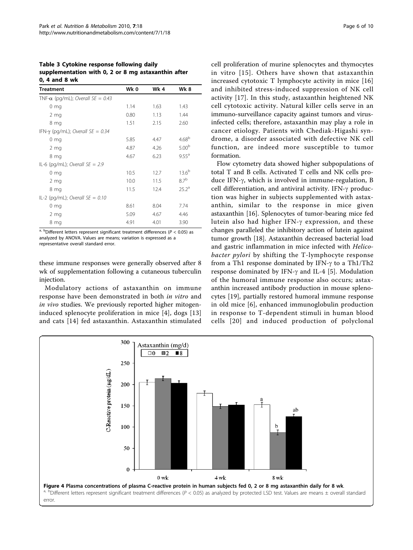<span id="page-5-0"></span>Table 3 Cytokine response following daily supplementation with 0, 2 or 8 mg astaxanthin after 0, 4 and 8 wk

| <b>Treatment</b>                         | Wk 0 | Wk 4 | Wk 8              |
|------------------------------------------|------|------|-------------------|
| TNF- $\alpha$ (pg/mL); Overall SE = 0.43 |      |      |                   |
| 0 <sub>mg</sub>                          | 1.14 | 1.63 | 1.43              |
| 2 <sub>mg</sub>                          | 0.80 | 1.13 | 1.44              |
| 8 mg                                     | 1.51 | 2.15 | 2.60              |
| IFN- $\gamma$ (pg/mL); Overall SE = 0.34 |      |      |                   |
| $0 \text{ mg}$                           | 5.85 | 4.47 | 4.68 <sup>b</sup> |
| 2 <sub>mg</sub>                          | 4.87 | 4.26 | 5.00 <sup>b</sup> |
| 8 mg                                     | 4.67 | 6.23 | $9.55^{\text{a}}$ |
| IL-6 (pg/mL); Overall $SE = 2.9$         |      |      |                   |
| 0 <sub>mg</sub>                          | 10.5 | 12.7 | $13.6^{b}$        |
| 2 <sub>mg</sub>                          | 10.0 | 11.5 | 87 <sup>b</sup>   |
| 8 mg                                     | 11.5 | 12.4 | 25.2 <sup>a</sup> |
| IL-2 (pg/mL); Overall $SE = 0.10$        |      |      |                   |
| $0 \text{ mg}$                           | 8.61 | 8.04 | 7.74              |
| 2 <sub>mg</sub>                          | 5.09 | 4.67 | 4.46              |
| 8 mg                                     | 4.91 | 4.01 | 3.90              |

 $a$ , bDifferent letters represent significant treatment differences ( $P < 0.05$ ) as analyzed by ANOVA. Values are means; variation is expressed as a representative overall standard error.

these immune responses were generally observed after 8 wk of supplementation following a cutaneous tuberculin injection.

Modulatory actions of astaxanthin on immune response have been demonstrated in both in vitro and in vivo studies. We previously reported higher mitogeninduced splenocyte proliferation in mice [[4\]](#page-8-0), dogs [\[13](#page-8-0)] and cats [[14](#page-8-0)] fed astaxanthin. Astaxanthin stimulated cell proliferation of murine splenocytes and thymocytes in vitro [[15\]](#page-8-0). Others have shown that astaxanthin increased cytotoxic T lymphocyte activity in mice [\[16](#page-8-0)] and inhibited stress-induced suppression of NK cell activity [[17](#page-8-0)]. In this study, astaxanthin heightened NK cell cytotoxic activity. Natural killer cells serve in an immuno-surveillance capacity against tumors and virusinfected cells; therefore, astaxanthin may play a role in cancer etiology. Patients with Chediak-Higashi syndrome, a disorder associated with defective NK cell function, are indeed more susceptible to tumor formation.

Flow cytometry data showed higher subpopulations of total T and B cells. Activated T cells and NK cells produce IFN- $\gamma$ , which is involved in immune-regulation, B cell differentiation, and antiviral activity. IFN- $\gamma$  production was higher in subjects supplemented with astaxanthin, similar to the response in mice given astaxanthin [\[16](#page-8-0)]. Splenocytes of tumor-bearing mice fed lutein also had higher IFN- $\gamma$  expression, and these changes paralleled the inhibitory action of lutein against tumor growth [[18\]](#page-8-0). Astaxanthin decreased bacterial load and gastric inflammation in mice infected with Helicobacter pylori by shifting the T-lymphocyte response from a Th1 response dominated by IFN- $\gamma$  to a Th1/Th2 response dominated by IFN- $\gamma$  and IL-4 [[5\]](#page-8-0). Modulation of the humoral immune response also occurs; astaxanthin increased antibody production in mouse splenocytes [[19\]](#page-8-0), partially restored humoral immune response in old mice [\[6](#page-8-0)], enhanced immunoglobulin production in response to T-dependent stimuli in human blood cells [[20\]](#page-8-0) and induced production of polyclonal

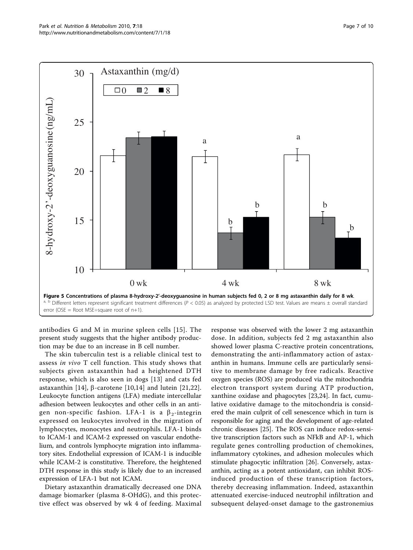<span id="page-6-0"></span>

antibodies G and M in murine spleen cells [[15](#page-8-0)]. The present study suggests that the higher antibody production may be due to an increase in B cell number.

The skin tuberculin test is a reliable clinical test to assess in vivo T cell function. This study shows that subjects given astaxanthin had a heightened DTH response, which is also seen in dogs [[13](#page-8-0)] and cats fed astaxanthin [[14](#page-8-0)],  $\beta$ -carotene [\[10](#page-8-0),[14\]](#page-8-0) and lutein [[21,22](#page-8-0)]. Leukocyte function antigens (LFA) mediate intercellular adhesion between leukocytes and other cells in an antigen non-specific fashion. LFA-1 is a  $\beta_2$ -integrin expressed on leukocytes involved in the migration of lymphocytes, monocytes and neutrophils. LFA-1 binds to ICAM-1 and ICAM-2 expressed on vascular endothelium, and controls lymphocyte migration into inflammatory sites. Endothelial expression of ICAM-1 is inducible while ICAM-2 is constitutive. Therefore, the heightened DTH response in this study is likely due to an increased expression of LFA-1 but not ICAM.

Dietary astaxanthin dramatically decreased one DNA damage biomarker (plasma 8-OHdG), and this protective effect was observed by wk 4 of feeding. Maximal

response was observed with the lower 2 mg astaxanthin dose. In addition, subjects fed 2 mg astaxanthin also showed lower plasma C-reactive protein concentrations, demonstrating the anti-inflammatory action of astaxanthin in humans. Immune cells are particularly sensitive to membrane damage by free radicals. Reactive oxygen species (ROS) are produced via the mitochondria electron transport system during ATP production, xanthine oxidase and phagocytes [\[23,24](#page-8-0)]. In fact, cumulative oxidative damage to the mitochondria is considered the main culprit of cell senescence which in turn is responsible for aging and the development of age-related chronic diseases [[25](#page-8-0)]. The ROS can induce redox-sensitive transcription factors such as NFkB and AP-1, which regulate genes controlling production of chemokines, inflammatory cytokines, and adhesion molecules which stimulate phagocytic infiltration [\[26](#page-8-0)]. Conversely, astaxanthin, acting as a potent antioxidant, can inhibit ROSinduced production of these transcription factors, thereby decreasing inflammation. Indeed, astaxanthin attenuated exercise-induced neutrophil infiltration and subsequent delayed-onset damage to the gastronemius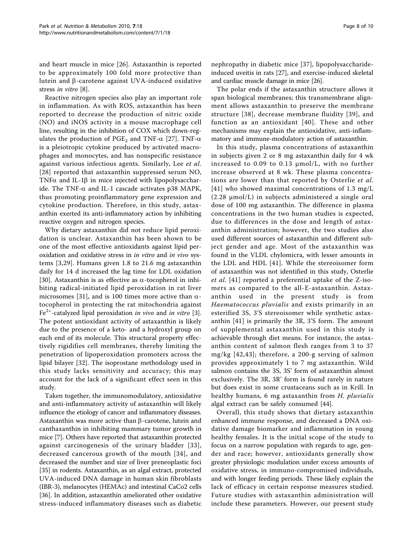and heart muscle in mice [[26\]](#page-8-0). Astaxanthin is reported to be approximately 100 fold more protective than lutein and  $\beta$ -carotene against UVA-induced oxidative stress in vitro [[8](#page-8-0)].

Reactive nitrogen species also play an important role in inflammation. As with ROS, astaxanthin has been reported to decrease the production of nitric oxide (NO) and iNOS activity in a mouse macrophage cell line, resulting in the inhibition of COX which down-regulates the production of PGE<sub>2</sub> and TNF- $\alpha$  [\[27](#page-8-0)]. TNF- $\alpha$ is a pleiotropic cytokine produced by activated macrophages and monocytes, and has nonspecific resistance against various infectious agents. Similarly, Lee et al. [[28](#page-8-0)] reported that astaxanthin suppressed serum NO, TNF $\alpha$  and IL-1 $\beta$  in mice injected with lipopolysaccharide. The TNF- $\alpha$  and IL-1 cascade activates p38 MAPK, thus promoting proinflammatory gene expression and cytokine production. Therefore, in this study, astaxanthin exerted its anti-inflammatory action by inhibiting reactive oxygen and nitrogen species.

Why dietary astaxanthin did not reduce lipid peroxidation is unclear. Astaxanthin has been shown to be one of the most effective antioxidants against lipid peroxidation and oxidative stress in in vitro and in vivo systems [[3,29](#page-8-0)]. Humans given 1.8 to 21.6 mg astaxanthin daily for 14 d increased the lag time for LDL oxidation [[30\]](#page-8-0). Astaxanthin is as effective as  $\alpha$ -tocopherol in inhibiting radical-initiated lipid peroxidation in rat liver microsomes [[31\]](#page-8-0), and is 100 times more active than  $\alpha$ tocopherol in protecting the rat mitochondria against  $Fe<sup>2+</sup>$ -catalyzed lipid peroxidation *in vivo* and *in vitro* [\[3](#page-8-0)]. The potent antioxidant activity of astaxanthin is likely due to the presence of a keto- and a hydroxyl group on each end of its molecule. This structural property effectively rigidifies cell membranes, thereby limiting the penetration of lipoperoxidation promoters across the lipid bilayer [[32\]](#page-8-0). The isoprostane methodology used in this study lacks sensitivity and accuracy; this may account for the lack of a significant effect seen in this study.

Taken together, the immunomodulatory, antioxidative and anti-inflammatory activity of astaxanthin will likely influence the etiology of cancer and inflammatory diseases. Astaxanthin was more active than  $\beta$ -carotene, lutein and canthaxanthin in inhibiting mammary tumor growth in mice [\[7\]](#page-8-0). Others have reported that astaxanthin protected against carcinogenesis of the urinary bladder [[33\]](#page-8-0), decreased cancerous growth of the mouth [[34\]](#page-8-0), and decreased the number and size of liver preneoplastic foci [[35\]](#page-8-0) in rodents. Astaxanthin, as an algal extract, protected UVA-induced DNA damage in human skin fibroblasts (IBR-3), melanocytes (HEMAc) and intestinal CaCo2 cells [[36\]](#page-8-0). In addition, astaxanthin ameliorated other oxidative stress-induced inflammatory diseases such as diabetic nephropathy in diabetic mice [[37](#page-8-0)], lipopolysaccharideinduced uveitis in rats [\[27\]](#page-8-0), and exercise-induced skeletal and cardiac muscle damage in mice [\[26\]](#page-8-0).

The polar ends if the astaxanthin structure allows it span biological membranes; this transmembrane alignment allows astaxanthin to preserve the membrane structure [[38\]](#page-9-0), decrease membrane fluidity [[39](#page-9-0)], and function as an antioxidant [[40\]](#page-9-0). These and other mechanisms may explain the antioxidative, anti-inflammatory and immune-modulatory action of astaxanthin.

In this study, plasma concentrations of astaxanthin in subjects given 2 or 8 mg astaxanthin daily for 4 wk increased to 0.09 to 0.13 μmol/L, with no further increase observed at 8 wk. These plasma concentrations are lower than that reported by Osterlie et al. [[41](#page-9-0)] who showed maximal concentrations of 1.3 mg/L (2.28 μmol/L) in subjects administered a single oral dose of 100 mg astaxanthin. The difference in plasma concentrations in the two human studies is expected, due to differences in the dose and length of astaxanthin administration; however, the two studies also used different sources of astaxanthin and different subject gender and age. Most of the astaxanthin was found in the VLDL chylomicra, with lesser amounts in the LDL and HDL [[41](#page-9-0)]. While the stereoisomer form of astaxanthin was not identified in this study, Osterlie et al. [[41\]](#page-9-0) reported a preferential uptake of the Z-isomers as compared to the all-E-astaxanthin. Astaxanthin used in the present study is from Haematococcus pluvialis and exists primarily in an esterified 3S, 3'S stereoisomer while synthetic astaxanthin [[41](#page-9-0)] is primarily the 3R, 3'S form. The amount of supplemental astaxanthin used in this study is achievable through diet means. For instance, the astaxanthin content of salmon flesh ranges from 3 to 37 mg/kg [[42,43](#page-9-0)]; therefore, a 200-g serving of salmon provides approximately 1 to 7 mg astaxanthin. Wild salmon contains the 3S, 3S' form of astaxanthin almost exclusively. The 3R, 3R' form is found rarely in nature but does exist in some crustaceans such as in Krill. In healthy humans, 6 mg astaxanthin from H. pluvialis algal extract can be safely consumed [\[44](#page-9-0)].

Overall, this study shows that dietary astaxanthin enhanced immune response, and decreased a DNA oxidative damage biomarker and inflammation in young healthy females. It is the initial scope of the study to focus on a narrow population with regards to age, gender and race; however, antioxidants generally show greater physiologic modulation under excess amounts of oxidative stress, in immuno-compromised individuals, and with longer feeding periods. These likely explain the lack of efficacy in certain response measures studied. Future studies with astaxanthin administration will include these parameters. However, our present study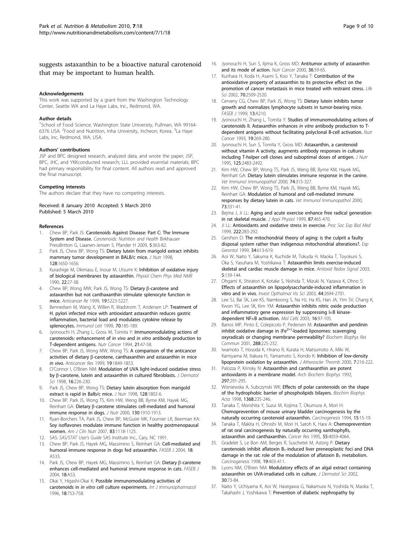# <span id="page-8-0"></span>suggests astaxanthin to be a bioactive natural carotenoid that may be important to human health.

#### Acknowledgements

This work was supported by a grant from the Washington Technology Center, Seattle WA and La Haye Labs, Inc., Redmond, WA.

#### Author details

<sup>1</sup>School of Food Science, Washington State University, Pullman, WA 99164-6376 USA. <sup>2</sup>Food and Nutrition, Inha University, Incheon, Korea. <sup>3</sup>La Haye Labs, Inc, Redmond, WA, USA.

#### Authors' contributions

JSP and BPC designed research, analyzed data, and wrote the paper; JSP, BPC, JHC, and YKKconducted research; LLL provided essential materials; BPC had primary responsibility for final content. All authors read and approved the final manuscript.

#### Competing interests

The authors declare that they have no competing interests.

### Received: 8 January 2010 Accepted: 5 March 2010 Published: 5 March 2010

#### References

- Chew BP, Park JS: Carotenoids Against Disease: Part C: The Immune System and Disease. Carotenoids: Nutrition and Health Birkhauser PressBritton G, Liaanen-Jensen S, Pfander H 2009, 5:363-82.
- 2. Park JS, Chew BP, Wong TS: [Dietary lutein from marigold extract inhibits](http://www.ncbi.nlm.nih.gov/pubmed/9772131?dopt=Abstract) [mammary tumor development in BALB/c mice.](http://www.ncbi.nlm.nih.gov/pubmed/9772131?dopt=Abstract) J Nutr 1998, 128:1650-1656.
- Kurashige M, Okimasu E, Inoue M, Utsumi K: [Inhibition of oxidative injury](http://www.ncbi.nlm.nih.gov/pubmed/2084711?dopt=Abstract) [of biological membranes by astaxanthin.](http://www.ncbi.nlm.nih.gov/pubmed/2084711?dopt=Abstract) Physiol Chem Phys Med NMR 1990, 22:27-38.
- 4. Chew BP, Wong MW, Park JS, Wong TS: Dietary  $\beta$ -carotene and astaxanthin but not canthaxanthin stimulate splenocyte function in mice. Anticancer Re 1999, 19:5223-5227.
- Bennedsen M, Wang X, Willen R, Wadstrom T, Andersen LP: [Treatment of](http://www.ncbi.nlm.nih.gov/pubmed/10656672?dopt=Abstract) [H. pylori infected mice with antioxidant astaxanthin reduces gastric](http://www.ncbi.nlm.nih.gov/pubmed/10656672?dopt=Abstract) [inflammation, bacterial load and modulates cytokine release by](http://www.ncbi.nlm.nih.gov/pubmed/10656672?dopt=Abstract) [splenocytes.](http://www.ncbi.nlm.nih.gov/pubmed/10656672?dopt=Abstract) Immunol Lett 1999, 70:185-189.
- 6. Jyonouchi H, Zhang L, Gross M, Tomita Y: [Immunomodulating actions of](http://www.ncbi.nlm.nih.gov/pubmed/8183722?dopt=Abstract) [carotenoids: enhancement of](http://www.ncbi.nlm.nih.gov/pubmed/8183722?dopt=Abstract) in vivo and in vitro antibody production to [T-dependent antigens.](http://www.ncbi.nlm.nih.gov/pubmed/8183722?dopt=Abstract) Nutr Cancer 1994, 21:47-58.
- 7. Chew BP, Park JS, Wong MW, Wong TS: [A comparison of the anticancer](http://www.ncbi.nlm.nih.gov/pubmed/10470126?dopt=Abstract) activities of dietary  $\beta$ [-carotene, canthaxanthin and astaxanthin in mice](http://www.ncbi.nlm.nih.gov/pubmed/10470126?dopt=Abstract) [in vivo](http://www.ncbi.nlm.nih.gov/pubmed/10470126?dopt=Abstract). Anticancer Res 1999, 19:1849-1853.
- 8. O'Connor I, O'Brien NM: [Modulation of UVA light-induced oxidative stress](http://www.ncbi.nlm.nih.gov/pubmed/9651820?dopt=Abstract) by  $\beta$ [-carotene, lutein and astaxanthin in cultured fibroblasts.](http://www.ncbi.nlm.nih.gov/pubmed/9651820?dopt=Abstract) *J Dermatol* Sci 1998, **16**:226-230.
- 9. Park JS, Chew BP, Wong TS: [Dietary lutein absorption from marigold](http://www.ncbi.nlm.nih.gov/pubmed/9772152?dopt=Abstract) [extract is rapid in Balb/c mice.](http://www.ncbi.nlm.nih.gov/pubmed/9772152?dopt=Abstract) J Nutr 1998, 128:1802-6.
- 10. Chew BP, Park JS, Wong TS, Kim HW, Weng BB, Byrne KM, Hayek MG, Reinhart GA: Dietary β[-carotene stimulates cell-mediated and humoral](http://www.ncbi.nlm.nih.gov/pubmed/10917901?dopt=Abstract) [immune response in dogs.](http://www.ncbi.nlm.nih.gov/pubmed/10917901?dopt=Abstract) J Nutr 2000, 130:1910-1913.
- 11. Ryan-Borchers TA, Park JS, Chew BP, McGuire MK, Fournier LR, Beerman KA: Soy isoflavones modulate immune function in healthy postmenopausal women. Am J Clin Nutr 2007, 83:1118-1125.
- 12. SAS: SAS/STAT User's Guide SAS Institute Inc., Cary, NC 1991.
- 13. Chew BP, Park JS, Hayek MG, Massimino S, Reinhart GA: Cell-mediated and humoral immune response in dogs fed astaxanthin. FASEB J 2004, 18: A533.
- 14. Park JS, Chew BP, Hayek MG, Massimino S, Reinhart GA: Dietary β-carotene enhances cell-mediated and humoral immune response in cats. FASEB J 2004, 18:A53.
- 15. Okai Y, Higashi-Okai K: [Possible immunomodulating activities of](http://www.ncbi.nlm.nih.gov/pubmed/9172019?dopt=Abstract) carotenoids in in vitro [cell culture experiments.](http://www.ncbi.nlm.nih.gov/pubmed/9172019?dopt=Abstract) Int J Immunopharmacol 1996, 18:753-758.
- 16. Jyonouchi H, Sun S, Iijima K, Gross MD: [Antitumor activity of astaxanthin](http://www.ncbi.nlm.nih.gov/pubmed/10798217?dopt=Abstract) [and its mode of action.](http://www.ncbi.nlm.nih.gov/pubmed/10798217?dopt=Abstract) Nutr Cancer 2000, 36:59-65.
- 17. Kurihara H, Koda H, Asami S, Kiso Y, Tanaka T: [Contribution of the](http://www.ncbi.nlm.nih.gov/pubmed/12173414?dopt=Abstract) [antioxidative property of astaxanthin to its protective effect on the](http://www.ncbi.nlm.nih.gov/pubmed/12173414?dopt=Abstract) [promotion of cancer metastasis in mice treated with restraint stress.](http://www.ncbi.nlm.nih.gov/pubmed/12173414?dopt=Abstract) Life Sci 2002, 70:2509-2520.
- 18. Cerveny CG, Chew BP, Park JS, Wong TS: Dietary lutein inhibits tumor growth and normalizes lymphocyte subsets in tumor-bearing mice. FASEB J 1999, 13:A210.
- 19. Jyonouchi H, Zhang L, Tomita Y: [Studies of immunomodulating actions of](http://www.ncbi.nlm.nih.gov/pubmed/8346076?dopt=Abstract) [carotenoids II. Astaxanthin enhances](http://www.ncbi.nlm.nih.gov/pubmed/8346076?dopt=Abstract) in vitro antibody production to T[dependent antigens without facilitating polyclonal B-cell activation.](http://www.ncbi.nlm.nih.gov/pubmed/8346076?dopt=Abstract) Nutr Cancer 1993, 19:269-280.
- 20. Jyonouchi H, Sun S, Tomita Y, Gross MD: [Astaxanthin, a carotenoid](http://www.ncbi.nlm.nih.gov/pubmed/7562082?dopt=Abstract) [without vitamin A activity, augments antibody responses in cultures](http://www.ncbi.nlm.nih.gov/pubmed/7562082?dopt=Abstract) [including T-helper cell clones and suboptimal doses of antigen.](http://www.ncbi.nlm.nih.gov/pubmed/7562082?dopt=Abstract) J Nutr 1995, 125:2483-2492.
- 21. Kim HW, Chew BP, Wong TS, Park JS, Weng BB, Byrne KM, Hayek MG, Reinhart GA: [Dietary lutein stimulates immune response in the canine.](http://www.ncbi.nlm.nih.gov/pubmed/10802297?dopt=Abstract) Vet Immunol Immunopathol 2000, 74:315-327.
- 22. Kim HW, Chew BP, Wong TS, Park JS, Weng BB, Byrne KM, Hayek MG, Reinhart GA: [Modulation of humoral and cell-mediated immune](http://www.ncbi.nlm.nih.gov/pubmed/10713345?dopt=Abstract) [responses by dietary lutein in cats.](http://www.ncbi.nlm.nih.gov/pubmed/10713345?dopt=Abstract) Vet Immunol Immunopathol 2000, 73:331-41.
- 23. Beima J, Ji LL: [Aging and acute exercise enhance free radical generation](http://www.ncbi.nlm.nih.gov/pubmed/10409609?dopt=Abstract) [in rat skeletal muscle.](http://www.ncbi.nlm.nih.gov/pubmed/10409609?dopt=Abstract) J Appl Physiol 1999, 87:465-470.
- 24. Ji LL: [Antioxidants and oxidative stress in exercise.](http://www.ncbi.nlm.nih.gov/pubmed/10601887?dopt=Abstract) Proc Soc Exp Biol Med 1999, 222:283-292.
- 25. Gershon D: [The mitochondrial theory of aging: is the culprit a faulty](http://www.ncbi.nlm.nih.gov/pubmed/10530787?dopt=Abstract) [disposal system rather than indigenous mitochondrial alterations?.](http://www.ncbi.nlm.nih.gov/pubmed/10530787?dopt=Abstract) Exp Gerontol 1999, 34:613-619.
- 26. Aoi W, Naito Y, Sakuma K, Kuchide M, Tokuda H, Maoka T, Toyokuni S, Oka S, Yasuhara M, Yoshikawa T: [Astaxanthin limits exercise-induced](http://www.ncbi.nlm.nih.gov/pubmed/12626126?dopt=Abstract) [skeletal and cardiac muscle damage in mice.](http://www.ncbi.nlm.nih.gov/pubmed/12626126?dopt=Abstract) Antioxid Redox Signal 2003, 5:139-144.
- 27. Ohgami K, Shiratori K, Kotake S, Nishida T, Mizuki N, Yazawa K, Ohno S: Effects of astaxanthin on lipopolysaccharide-induced inflammation in vitro and in vivo. Invest Opthalmol Vis Sci 2003, 44:2694-2701.
- 28. Lee SJ, Bai SK, Lee KS, Namkoong S, Na HJ, Ha KS, Han JA, Yim SV, Chang K, Kwon YG, Lee SK, Kim YM: [Astaxanthin inhibits nitric oxide production](http://www.ncbi.nlm.nih.gov/pubmed/14503852?dopt=Abstract) and inflammatory gene expression by suppressing  $I\kappa B$  kinase[dependent NF](http://www.ncbi.nlm.nih.gov/pubmed/14503852?dopt=Abstract) $\kappa$ [B activation.](http://www.ncbi.nlm.nih.gov/pubmed/14503852?dopt=Abstract) Mol Cells 2003, 16:97-105.
- 29. Barros MP, Pinto E, Colepicolo P, Pedersen M: [Astaxanthin and peridinin](http://www.ncbi.nlm.nih.gov/pubmed/11594777?dopt=Abstract) [inhibit](http://www.ncbi.nlm.nih.gov/pubmed/11594777?dopt=Abstract) [oxidative](http://www.ncbi.nlm.nih.gov/pubmed/11594777?dopt=Abstract) [damage](http://www.ncbi.nlm.nih.gov/pubmed/11594777?dopt=Abstract) [in](http://www.ncbi.nlm.nih.gov/pubmed/11594777?dopt=Abstract)  $(Fe^{2+})$  $(Fe^{2+})$ -loaded liposomes: scavenging [oxyradicals or changing membrane permeability?](http://www.ncbi.nlm.nih.gov/pubmed/11594777?dopt=Abstract) Biochem Biophys Res Commun 2001, 288:225-232.
- 30. Iwamoto T, Hosoda K, Hirano R, Kurata H, Matsumoto A, Miki W, Kamiyama M, Itakura H, Yamamoto S, Kondo K; [Inhibition of low-density](http://www.ncbi.nlm.nih.gov/pubmed/11521685?dopt=Abstract) [lipoprotein oxidation by astaxanthin.](http://www.ncbi.nlm.nih.gov/pubmed/11521685?dopt=Abstract) J Atheroscler Thromb 2000, 7:216-222.
- 31. Palozza P, Krinsky N: [Astaxanthin and canthaxanthin are potent](http://www.ncbi.nlm.nih.gov/pubmed/1497349?dopt=Abstract) [antioxidants in a membrane model.](http://www.ncbi.nlm.nih.gov/pubmed/1497349?dopt=Abstract) Arch Biochem Biophys 1992, 297:291-295.
- 32. Wisniewska A, Subczynski WK: [Effects of polar carotenoids on the shape](http://www.ncbi.nlm.nih.gov/pubmed/9459601?dopt=Abstract) [of the hydrophobic barrier of phospholipids bilayers.](http://www.ncbi.nlm.nih.gov/pubmed/9459601?dopt=Abstract) Biochim Biophys Acta 1998, 1368:235-246.
- 33. Tanaka T, Morishita Y, Suzui M, Kojima T, Okumura A, Mori H: [Chemoprevention of mouse urinary bladder carcinogenesis by the](http://www.ncbi.nlm.nih.gov/pubmed/8293542?dopt=Abstract) [naturally occurring carotenoid astaxanthin.](http://www.ncbi.nlm.nih.gov/pubmed/8293542?dopt=Abstract) Carcinogenesis 1994, 15:15-19.
- 34. Tanaka T, Makita H, Ohnishi M, Mori H, Satoh K, Hara A: [Chemoprevention](http://www.ncbi.nlm.nih.gov/pubmed/7664280?dopt=Abstract) [of rat oral carcinogenesis by naturally occurring xanthophylls,](http://www.ncbi.nlm.nih.gov/pubmed/7664280?dopt=Abstract) [astaxanthin and canthaxanthin.](http://www.ncbi.nlm.nih.gov/pubmed/7664280?dopt=Abstract) Cancer Res 1995, 55:4059-4064.
- 35. Gradelet S, Le Bon AM, Berges R, Suschetet M, Astorg P: [Dietary](http://www.ncbi.nlm.nih.gov/pubmed/9525273?dopt=Abstract) carotenoids inhibit aflatoxin  $B_1$ -induced liver preneoplastic foci and DNA damage in the rat: role of the modulation of aflatoxin  $B_1$  [metabolism.](http://www.ncbi.nlm.nih.gov/pubmed/9525273?dopt=Abstract) Carcinogenesis 1998, 19:403-411.
- 36. Lyons NM, O'Brien NM: [Modulatory effects of an algal extract containing](http://www.ncbi.nlm.nih.gov/pubmed/12354422?dopt=Abstract) [astaxanthin on UVA-irradiated cells in culture.](http://www.ncbi.nlm.nih.gov/pubmed/12354422?dopt=Abstract) J Dermatol Sci 2002, 30:73-84.
- 37. Naito Y, Uchiyama K, Aoi W, Hasegawa G, Nakamura N, Yoshida N, Maoka T, Takahashi J, Yoshikawa T: [Prevention of diabetic nephropathy by](http://www.ncbi.nlm.nih.gov/pubmed/15096660?dopt=Abstract)